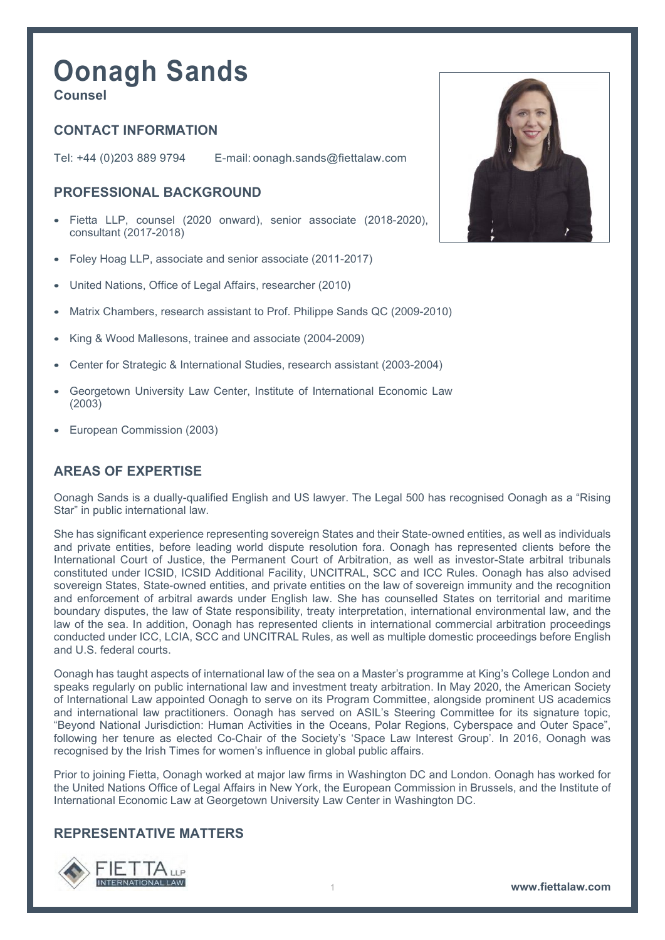# **Oonagh Sands**

**Counsel**

## **CONTACT INFORMATION**

Tel: +44 (0)203 889 9794 E-mail: [oonagh.sands@fiettalaw.com](mailto:oonagh.sands@fiettalaw.com)

## **PROFESSIONAL BACKGROUND**

- Fietta LLP, counsel (2020 onward), senior associate (2018-2020), consultant (2017-2018)
- Foley Hoag LLP, associate and senior associate (2011-2017)
- United Nations, Office of Legal Affairs, researcher (2010)
- Matrix Chambers, research assistant to Prof. Philippe Sands QC (2009-2010)
- King & Wood Mallesons, trainee and associate (2004-2009)
- Center for Strategic & International Studies, research assistant (2003-2004)
- Georgetown University Law Center, Institute of International Economic Law (2003)
- European Commission (2003)

#### **AREAS OF EXPERTISE**

Oonagh Sands is a dually-qualified English and US lawyer. The Legal 500 has recognised Oonagh as a "Rising Star" in public international law.

She has significant experience representing sovereign States and their State-owned entities, as well as individuals and private entities, before leading world dispute resolution fora. Oonagh has represented clients before the International Court of Justice, the Permanent Court of Arbitration, as well as investor-State arbitral tribunals constituted under ICSID, ICSID Additional Facility, UNCITRAL, SCC and ICC Rules. Oonagh has also advised sovereign States, State-owned entities, and private entities on the law of sovereign immunity and the recognition and enforcement of arbitral awards under English law. She has counselled States on territorial and maritime boundary disputes, the law of State responsibility, treaty interpretation, international environmental law, and the law of the sea. In addition, Oonagh has represented clients in international commercial arbitration proceedings conducted under ICC, LCIA, SCC and UNCITRAL Rules, as well as multiple domestic proceedings before English and U.S. federal courts.

Oonagh has taught aspects of international law of the sea on a Master's programme at King's College London and speaks regularly on public international law and investment treaty arbitration. In May 2020, the American Society of International Law appointed Oonagh to serve on its Program Committee, alongside prominent US academics and international law practitioners. Oonagh has served on ASIL's Steering Committee for its signature topic, "Beyond National Jurisdiction: Human Activities in the Oceans, Polar Regions, Cyberspace and Outer Space", following her tenure as elected Co-Chair of the Society's 'Space Law Interest Group'. In 2016, Oonagh was recognised by the Irish Times for women's influence in global public affairs.

Prior to joining Fietta, Oonagh worked at major law firms in Washington DC and London. Oonagh has worked for the United Nations Office of Legal Affairs in New York, the European Commission in Brussels, and the Institute of International Economic Law at Georgetown University Law Center in Washington DC.

#### **REPRESENTATIVE MATTERS**



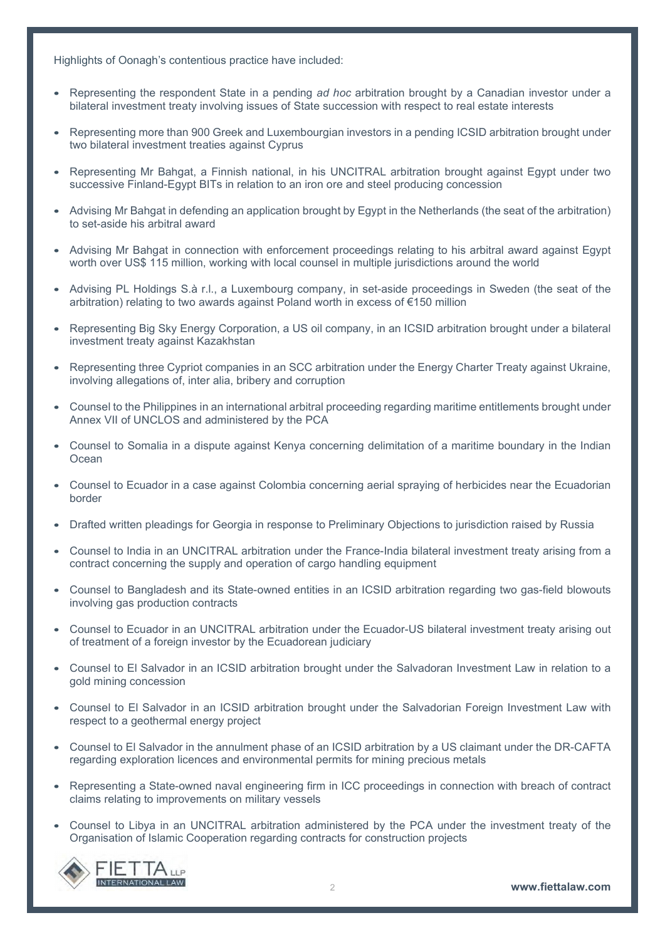Highlights of Oonagh's contentious practice have included:

- Representing the respondent State in a pending *ad hoc* arbitration brought by a Canadian investor under a bilateral investment treaty involving issues of State succession with respect to real estate interests
- Representing more than 900 Greek and Luxembourgian investors in a pending ICSID arbitration brought under two bilateral investment treaties against Cyprus
- Representing Mr Bahgat, a Finnish national, in his UNCITRAL arbitration brought against Egypt under two successive Finland-Egypt BITs in relation to an iron ore and steel producing concession
- Advising Mr Bahgat in defending an application brought by Egypt in the Netherlands (the seat of the arbitration) to set-aside his arbitral award
- Advising Mr Bahgat in connection with enforcement proceedings relating to his arbitral award against Egypt worth over US\$ 115 million, working with local counsel in multiple jurisdictions around the world
- Advising PL Holdings S.à r.l., a Luxembourg company, in set-aside proceedings in Sweden (the seat of the arbitration) relating to two awards against Poland worth in excess of €150 million
- Representing Big Sky Energy Corporation, a US oil company, in an ICSID arbitration brought under a bilateral investment treaty against Kazakhstan
- Representing three Cypriot companies in an SCC arbitration under the Energy Charter Treaty against Ukraine, involving allegations of, inter alia, bribery and corruption
- Counsel to the Philippines in an international arbitral proceeding regarding maritime entitlements brought under Annex VII of UNCLOS and administered by the PCA
- Counsel to Somalia in a dispute against Kenya concerning delimitation of a maritime boundary in the Indian **Ocean**
- Counsel to Ecuador in a case against Colombia concerning aerial spraying of herbicides near the Ecuadorian border
- Drafted written pleadings for Georgia in response to Preliminary Objections to jurisdiction raised by Russia
- Counsel to India in an UNCITRAL arbitration under the France-India bilateral investment treaty arising from a contract concerning the supply and operation of cargo handling equipment
- Counsel to Bangladesh and its State-owned entities in an ICSID arbitration regarding two gas-field blowouts involving gas production contracts
- Counsel to Ecuador in an UNCITRAL arbitration under the Ecuador-US bilateral investment treaty arising out of treatment of a foreign investor by the Ecuadorean judiciary
- Counsel to El Salvador in an ICSID arbitration brought under the Salvadoran Investment Law in relation to a gold mining concession
- Counsel to El Salvador in an ICSID arbitration brought under the Salvadorian Foreign Investment Law with respect to a geothermal energy project
- Counsel to El Salvador in the annulment phase of an ICSID arbitration by a US claimant under the DR-CAFTA regarding exploration licences and environmental permits for mining precious metals
- Representing a State-owned naval engineering firm in ICC proceedings in connection with breach of contract claims relating to improvements on military vessels
- Counsel to Libya in an UNCITRAL arbitration administered by the PCA under the investment treaty of the Organisation of Islamic Cooperation regarding contracts for construction projects

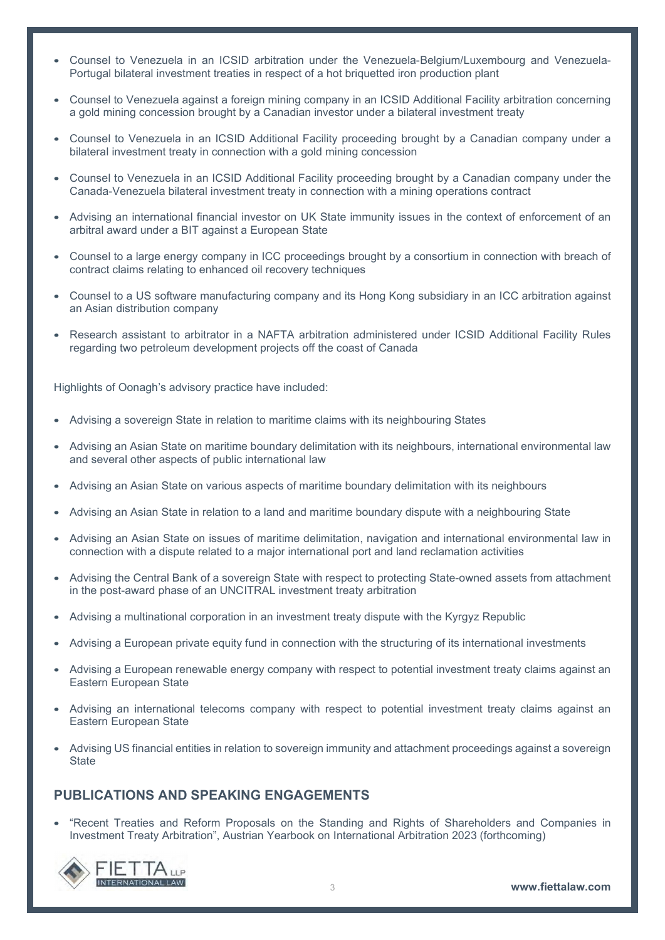- Counsel to Venezuela in an ICSID arbitration under the Venezuela-Belgium/Luxembourg and Venezuela-Portugal bilateral investment treaties in respect of a hot briquetted iron production plant
- Counsel to Venezuela against a foreign mining company in an ICSID Additional Facility arbitration concerning a gold mining concession brought by a Canadian investor under a bilateral investment treaty
- Counsel to Venezuela in an ICSID Additional Facility proceeding brought by a Canadian company under a bilateral investment treaty in connection with a gold mining concession
- Counsel to Venezuela in an ICSID Additional Facility proceeding brought by a Canadian company under the Canada-Venezuela bilateral investment treaty in connection with a mining operations contract
- Advising an international financial investor on UK State immunity issues in the context of enforcement of an arbitral award under a BIT against a European State
- Counsel to a large energy company in ICC proceedings brought by a consortium in connection with breach of contract claims relating to enhanced oil recovery techniques
- Counsel to a US software manufacturing company and its Hong Kong subsidiary in an ICC arbitration against an Asian distribution company
- Research assistant to arbitrator in a NAFTA arbitration administered under ICSID Additional Facility Rules regarding two petroleum development projects off the coast of Canada

Highlights of Oonagh's advisory practice have included:

- Advising a sovereign State in relation to maritime claims with its neighbouring States
- Advising an Asian State on maritime boundary delimitation with its neighbours, international environmental law and several other aspects of public international law
- Advising an Asian State on various aspects of maritime boundary delimitation with its neighbours
- Advising an Asian State in relation to a land and maritime boundary dispute with a neighbouring State
- Advising an Asian State on issues of maritime delimitation, navigation and international environmental law in connection with a dispute related to a major international port and land reclamation activities
- Advising the Central Bank of a sovereign State with respect to protecting State-owned assets from attachment in the post-award phase of an UNCITRAL investment treaty arbitration
- Advising a multinational corporation in an investment treaty dispute with the Kyrgyz Republic
- Advising a European private equity fund in connection with the structuring of its international investments
- Advising a European renewable energy company with respect to potential investment treaty claims against an Eastern European State
- Advising an international telecoms company with respect to potential investment treaty claims against an Eastern European State
- Advising US financial entities in relation to sovereign immunity and attachment proceedings against a sovereign **State**

## **PUBLICATIONS AND SPEAKING ENGAGEMENTS**

• "Recent Treaties and Reform Proposals on the Standing and Rights of Shareholders and Companies in Investment Treaty Arbitration", Austrian Yearbook on International Arbitration 2023 (forthcoming)

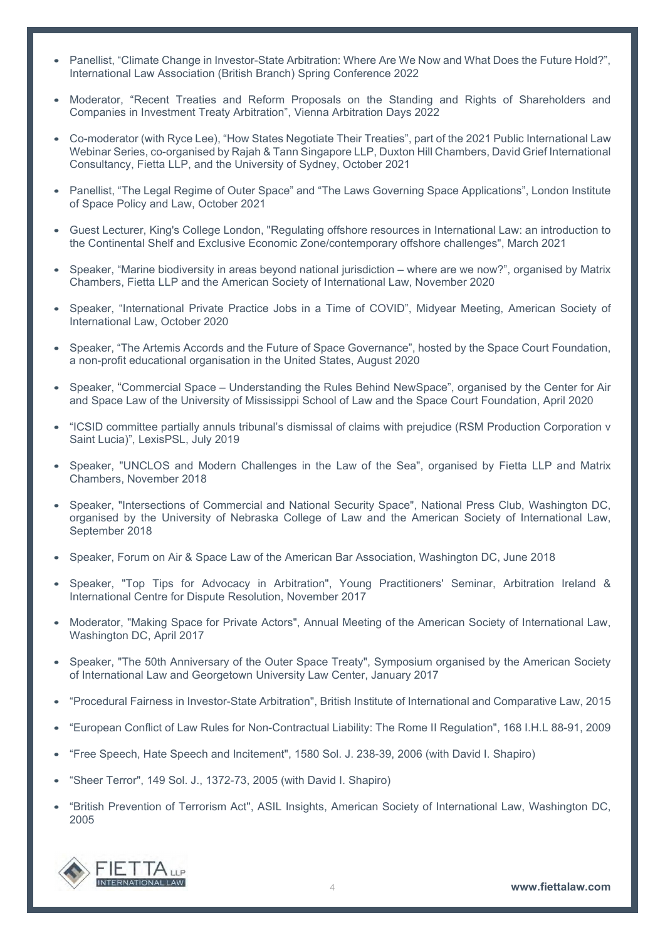- Panellist, "Climate Change in Investor-State Arbitration: Where Are We Now and What Does the Future Hold?", International Law Association (British Branch) Spring Conference 2022
- Moderator, "Recent Treaties and Reform Proposals on the Standing and Rights of Shareholders and Companies in Investment Treaty Arbitration", Vienna Arbitration Days 2022
- Co-moderator (with Ryce Lee), "How States Negotiate Their Treaties", part of the 2021 Public International Law Webinar Series, co-organised by Rajah & Tann Singapore LLP, Duxton Hill Chambers, David Grief International Consultancy, Fietta LLP, and the University of Sydney, October 2021
- Panellist, "The Legal Regime of Outer Space" and "The Laws Governing Space Applications", London Institute of Space Policy and Law, October 2021
- Guest Lecturer, King's College London, "Regulating offshore resources in International Law: an introduction to the Continental Shelf and Exclusive Economic Zone/contemporary offshore challenges", March 2021
- Speaker, "Marine biodiversity in areas beyond national jurisdiction where are we now?", organised by Matrix Chambers, Fietta LLP and the American Society of International Law, November 2020
- Speaker, "International Private Practice Jobs in a Time of COVID", Midyear Meeting, American Society of International Law, October 2020
- Speaker, "The Artemis Accords and the Future of Space Governance", hosted by the Space Court Foundation, a non-profit educational organisation in the United States, August 2020
- Speaker, "Commercial Space Understanding the Rules Behind NewSpace", organised by the Center for Air and Space Law of the University of Mississippi School of Law and the Space Court Foundation, April 2020
- "ICSID committee partially annuls tribunal's dismissal of claims with prejudice (RSM Production Corporation v Saint Lucia)", LexisPSL, July 2019
- Speaker, "UNCLOS and Modern Challenges in the Law of the Sea", organised by Fietta LLP and Matrix Chambers, November 2018
- Speaker, "Intersections of Commercial and National Security Space", National Press Club, Washington DC, organised by the University of Nebraska College of Law and the American Society of International Law, September 2018
- Speaker, Forum on Air & Space Law of the American Bar Association, Washington DC, June 2018
- Speaker, "Top Tips for Advocacy in Arbitration", Young Practitioners' Seminar, Arbitration Ireland & International Centre for Dispute Resolution, November 2017
- Moderator, "Making Space for Private Actors", Annual Meeting of the American Society of International Law, Washington DC, April 2017
- Speaker, "The 50th Anniversary of the Outer Space Treaty", Symposium organised by the American Society of International Law and Georgetown University Law Center, January 2017
- "Procedural Fairness in Investor-State Arbitration", British Institute of International and Comparative Law, 2015
- "European Conflict of Law Rules for Non-Contractual Liability: The Rome II Regulation", 168 I.H.L 88-91, 2009
- "Free Speech, Hate Speech and Incitement", 1580 Sol. J. 238-39, 2006 (with David I. Shapiro)
- "Sheer Terror", 149 Sol. J., 1372-73, 2005 (with David I. Shapiro)
- "British Prevention of Terrorism Act", ASIL Insights, American Society of International Law, Washington DC, 2005